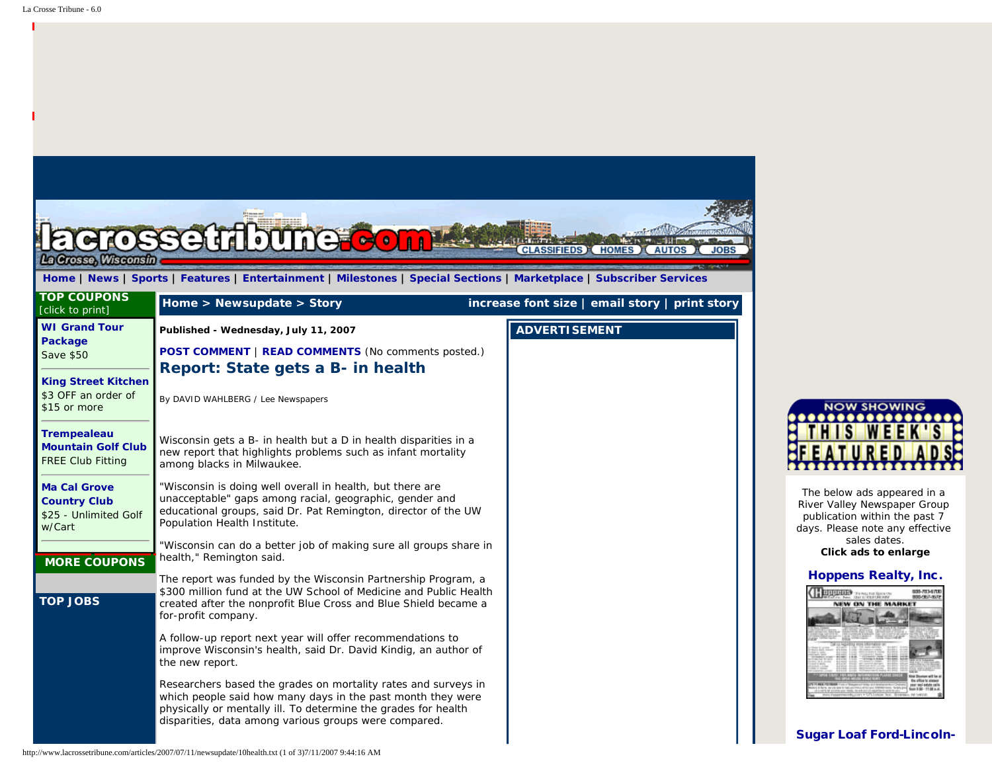| $\bullet$ $\bullet$                                                           | settloune com                                                                                                                                                                                                                                            |                                                  |  |
|-------------------------------------------------------------------------------|----------------------------------------------------------------------------------------------------------------------------------------------------------------------------------------------------------------------------------------------------------|--------------------------------------------------|--|
| La Crosse, Wisconsin                                                          | Home   News   Sports   Features   Entertainment   Milestones   Special Sections   Marketplace   Subscriber Services                                                                                                                                      | <b>CLASSIFIEDS</b> (HOMES) (AUTOS<br><b>JOBS</b> |  |
| <b>TOP COUPONS</b><br>[click to print]                                        | Home > Newsupdate > Story                                                                                                                                                                                                                                | increase font size   email story   print story   |  |
| <b>WI Grand Tour</b><br>Package<br>Save \$50                                  | Published - Wednesday, July 11, 2007<br><b>POST COMMENT   READ COMMENTS (No comments posted.)</b>                                                                                                                                                        | <b>ADVERTISEMENT</b>                             |  |
| <b>King Street Kitchen</b><br>\$3 OFF an order of<br>\$15 or more             | Report: State gets a B- in health<br>By DAVID WAHLBERG / Lee Newspapers                                                                                                                                                                                  |                                                  |  |
| <b>Trempealeau</b><br><b>Mountain Golf Club</b><br><b>FREE Club Fitting</b>   | Wisconsin gets a B- in health but a D in health disparities in a<br>new report that highlights problems such as infant mortality<br>among blacks in Milwaukee.                                                                                           |                                                  |  |
| <b>Ma Cal Grove</b><br><b>Country Club</b><br>\$25 - Unlimited Golf<br>w/Cart | "Wisconsin is doing well overall in health, but there are<br>unacceptable" gaps among racial, geographic, gender and<br>educational groups, said Dr. Pat Remington, director of the UW<br>Population Health Institute.                                   |                                                  |  |
| <b>MORE COUPONS</b>                                                           | "Wisconsin can do a better job of making sure all groups share in<br>health," Remington said.                                                                                                                                                            |                                                  |  |
| <b>TOP JOBS</b>                                                               | The report was funded by the Wisconsin Partnership Program, a<br>\$300 million fund at the UW School of Medicine and Public Health<br>created after the nonprofit Blue Cross and Blue Shield became a<br>for-profit company.                             |                                                  |  |
|                                                                               | A follow-up report next year will offer recommendations to<br>improve Wisconsin's health, said Dr. David Kindig, an author of<br>the new report.                                                                                                         |                                                  |  |
|                                                                               | Researchers based the grades on mortality rates and surveys in<br>which people said how many days in the past month they were<br>physically or mentally ill. To determine the grades for health<br>disparities, data among various groups were compared. |                                                  |  |



The below ads appeared in a River Valley Newspaper Group publication within the past 7 days. Please note any effective sales dates. **Click ads to enlarge**

## [Hoppens Realty, Inc.](javascript:void(0))



## [Sugar Loaf Ford-Lincoln-](javascript:void(0))